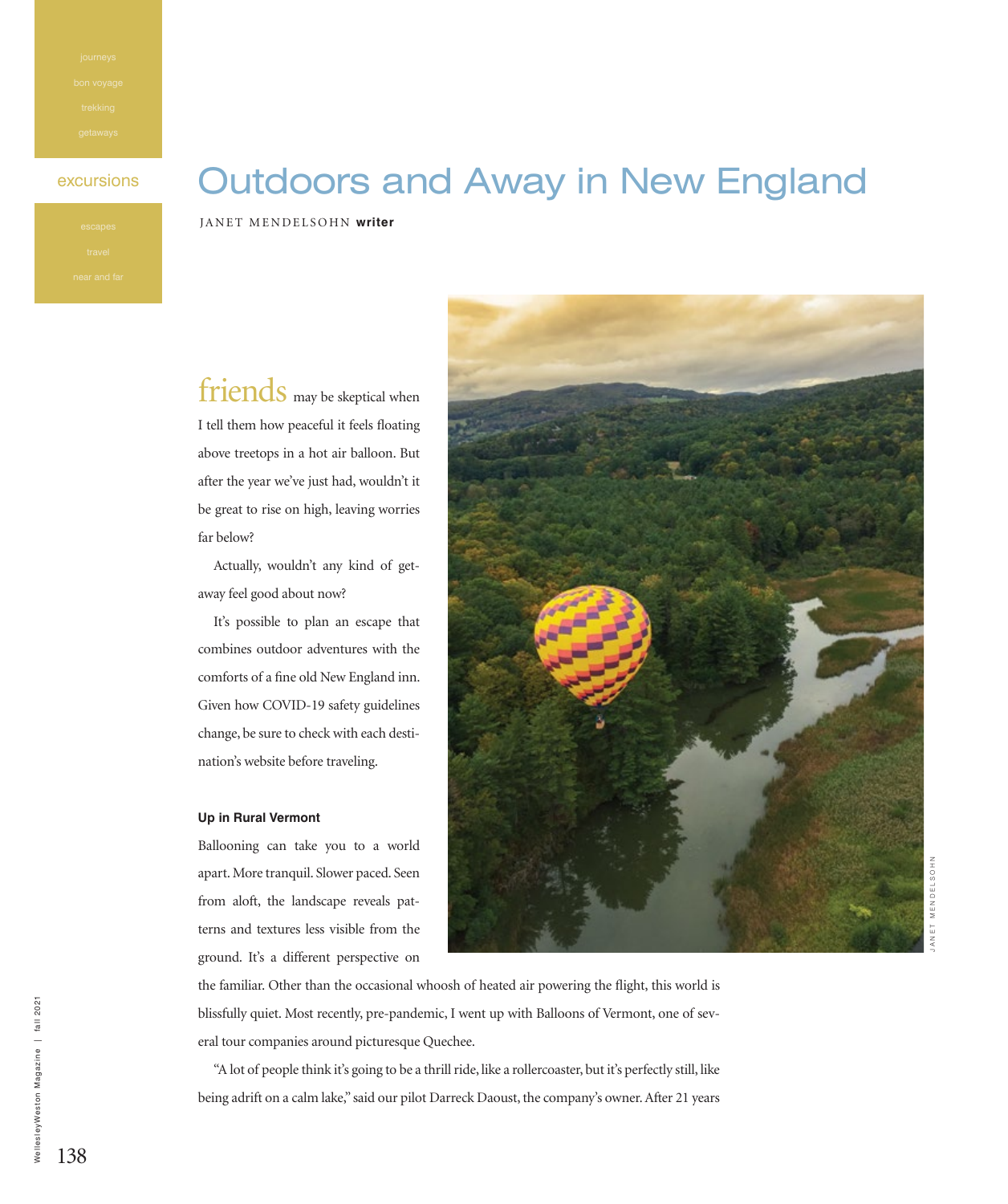# excursions **Outdoors and Away in New England**

JANET MENDELSOHN **writer**

friends may be skeptical when I tell them how peaceful it feels floating above treetops in a hot air balloon. But after the year we've just had, wouldn't it be great to rise on high, leaving worries far below?

Actually, wouldn't any kind of getaway feel good about now?

It's possible to plan an escape that combines outdoor adventures with the comforts of a fine old New England inn. Given how COVID-19 safety guidelines change, be sure to check with each destination's website before traveling.

## **Up in Rural Vermont**

Ballooning can take you to a world apart. More tranquil. Slower paced. Seen from aloft, the landscape reveals patterns and textures less visible from the ground. It's a different perspective on



the familiar. Other than the occasional whoosh of heated air powering the flight, this world is blissfully quiet. Most recently, pre-pandemic, I went up with Balloons of Vermont, one of several tour companies around picturesque Quechee.

"A lot of people think it's going to be a thrill ride, like a rollercoaster, but it's perfectly still, like being adrift on a calm lake," said our pilot Darreck Daoust, the company's owner. After 21 years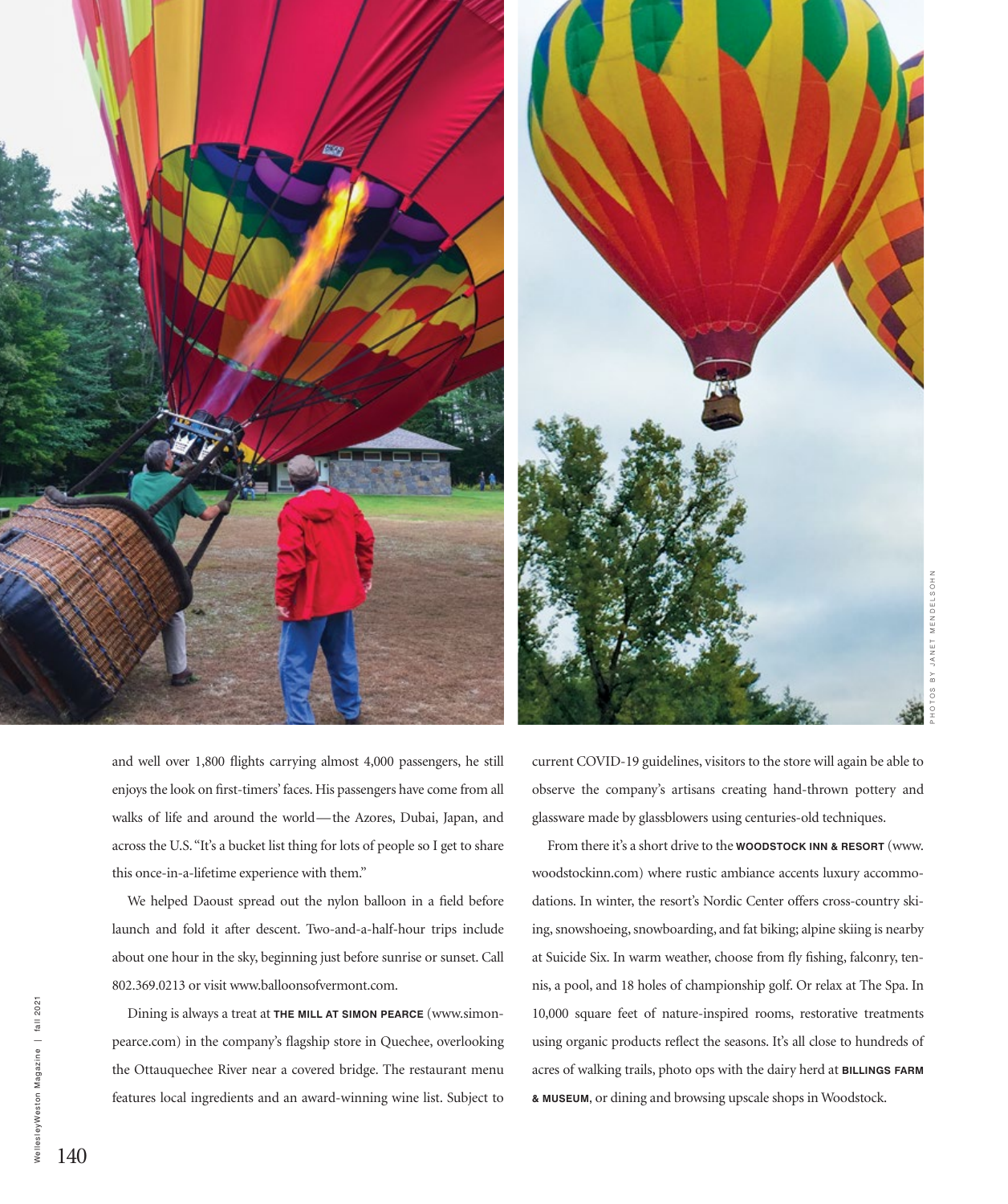

PHOTOS BY JANET MENDELSOHN MENDE

and well over 1,800 flights carrying almost 4,000 passengers, he still enjoys the look on first-timers' faces. His passengers have come from all walks of life and around the world—the Azores, Dubai, Japan, and across the U.S. "It's a bucket list thing for lots of people so I get to share this once-in-a-lifetime experience with them."

We helped Daoust spread out the nylon balloon in a field before launch and fold it after descent. Two-and-a-half-hour trips include about one hour in the sky, beginning just before sunrise or sunset. Call 802.369.0213 or visit www.balloonsofvermont.com.

Dining is always a treat at **THE MILL AT SIMON PEARCE** (www.simonpearce.com) in the company's flagship store in Quechee, overlooking the Ottauquechee River near a covered bridge. The restaurant menu features local ingredients and an award-winning wine list. Subject to

current COVID-19 guidelines, visitors to the store will again be able to observe the company's artisans creating hand-thrown pottery and glassware made by glassblowers using centuries-old techniques.

From there it's a short drive to the **WOODSTOCK INN & RESORT** (www. woodstockinn.com) where rustic ambiance accents luxury accommodations. In winter, the resort's Nordic Center offers cross-country skiing, snowshoeing, snowboarding, and fat biking; alpine skiing is nearby at Suicide Six. In warm weather, choose from fly fishing, falconry, tennis, a pool, and 18 holes of championship golf. Or relax at The Spa. In 10,000 square feet of nature-inspired rooms, restorative treatments using organic products reflect the seasons. It's all close to hundreds of acres of walking trails, photo ops with the dairy herd at **BILLINGS FARM & MUSEUM,** or dining and browsing upscale shops in Woodstock.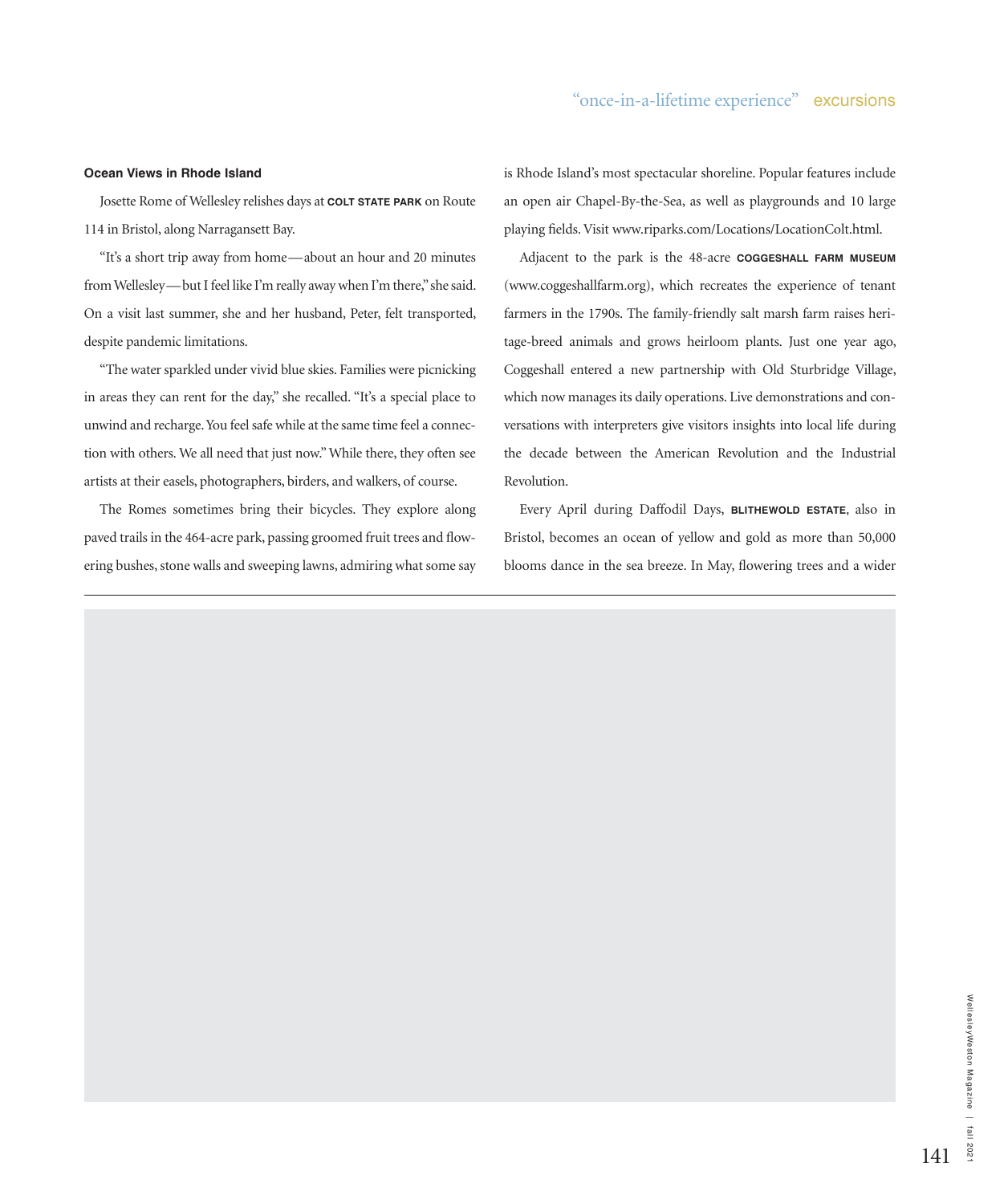## **Ocean Views in Rhode Island**

Josette Rome of Wellesley relishes days at **COLT STATE PARK** on Route 114 in Bristol, along Narragansett Bay.

"It's a short trip away from home—about an hour and 20 minutes from Wellesley—but I feel like I'm really away when I'm there," she said. On a visit last summer, she and her husband, Peter, felt transported, despite pandemic limitations.

"The water sparkled under vivid blue skies. Families were picnicking in areas they can rent for the day," she recalled. "It's a special place to unwind and recharge. You feel safe while at the same time feel a connection with others. We all need that just now." While there, they often see artists at their easels, photographers, birders, and walkers, of course.

The Romes sometimes bring their bicycles. They explore along paved trails in the 464-acre park, passing groomed fruit trees and flowering bushes, stone walls and sweeping lawns, admiring what some say

is Rhode Island's most spectacular shoreline. Popular features include an open air Chapel-By-the-Sea, as well as playgrounds and 10 large playing fields. Visit www.riparks.com/Locations/LocationColt.html.

Adjacent to the park is the 48-acre **COGGESHALL FARM MUSEUM**  (www.coggeshallfarm.org), which recreates the experience of tenant farmers in the 1790s. The family-friendly salt marsh farm raises heritage-breed animals and grows heirloom plants. Just one year ago, Coggeshall entered a new partnership with Old Sturbridge Village, which now manages its daily operations. Live demonstrations and conversations with interpreters give visitors insights into local life during the decade between the American Revolution and the Industrial Revolution.

Every April during Daffodil Days, **BLITHEWOLD ESTATE,** also in Bristol, becomes an ocean of yellow and gold as more than 50,000 blooms dance in the sea breeze. In May, flowering trees and a wider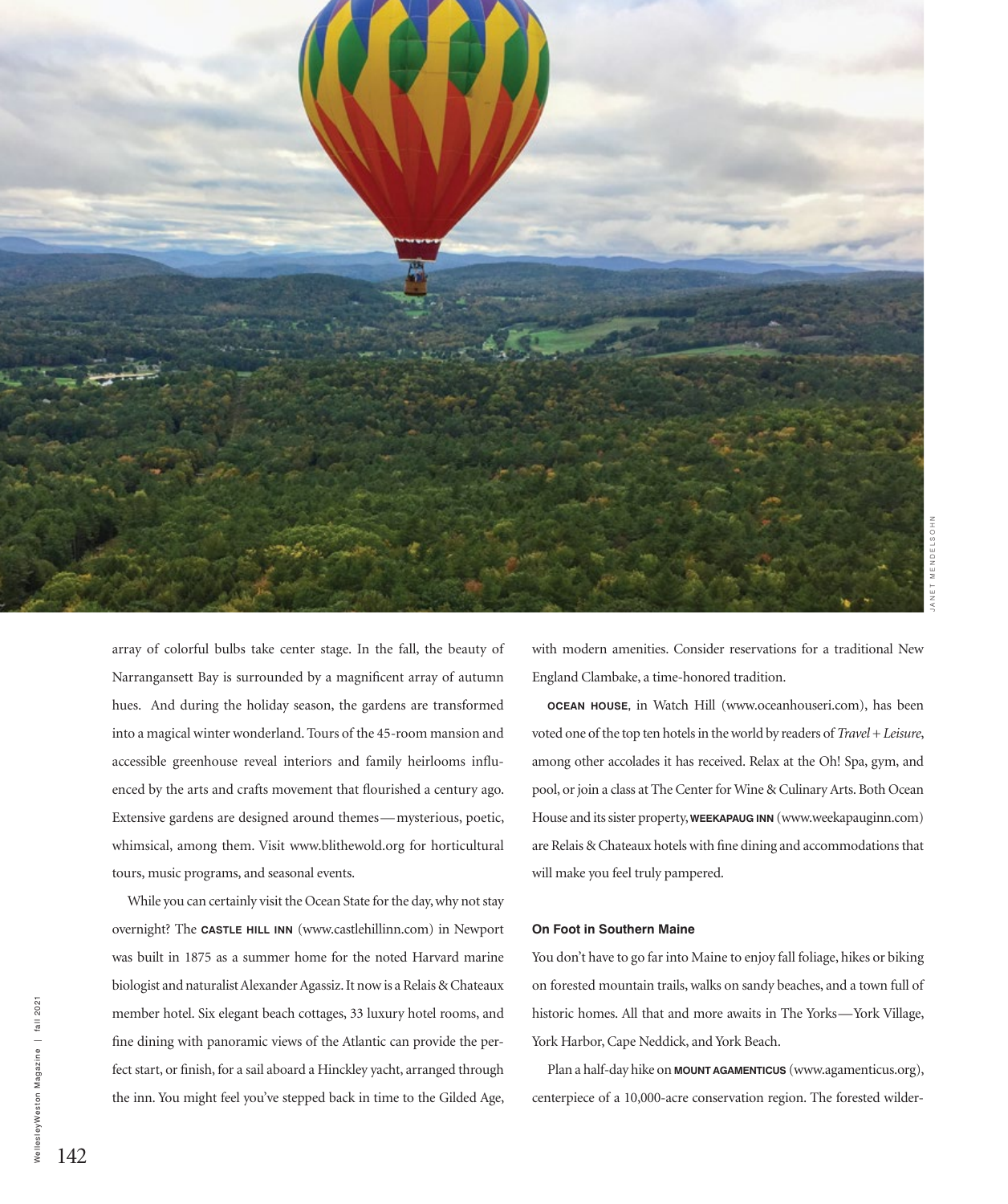

array of colorful bulbs take center stage. In the fall, the beauty of Narrangansett Bay is surrounded by a magnificent array of autumn hues. And during the holiday season, the gardens are transformed into a magical winter wonderland. Tours of the 45-room mansion and accessible greenhouse reveal interiors and family heirlooms influenced by the arts and crafts movement that flourished a century ago. Extensive gardens are designed around themes—mysterious, poetic, whimsical, among them. Visit www.blithewold.org for horticultural tours, music programs, and seasonal events.

While you can certainly visit the Ocean State for the day, why not stay overnight? The **CASTLE HILL INN** (www.castlehillinn.com) in Newport was built in 1875 as a summer home for the noted Harvard marine biologist and naturalist Alexander Agassiz. It now is a Relais & Chateaux member hotel. Six elegant beach cottages, 33 luxury hotel rooms, and fine dining with panoramic views of the Atlantic can provide the perfect start, or finish, for a sail aboard a Hinckley yacht, arranged through the inn. You might feel you've stepped back in time to the Gilded Age,

with modern amenities. Consider reservations for a traditional New England Clambake, a time-honored tradition.

**OCEAN HOUSE,** in Watch Hill (www.oceanhouseri.com), has been voted one of the top ten hotels in the world by readers of *Travel + Leisure*, among other accolades it has received. Relax at the Oh! Spa, gym, and pool, or join a class at The Center for Wine & Culinary Arts. Both Ocean House and its sister property, **WEEKAPAUG INN** (www.weekapauginn.com) are Relais & Chateaux hotels with fine dining and accommodations that will make you feel truly pampered.

#### **On Foot in Southern Maine**

You don't have to go far into Maine to enjoy fall foliage, hikes or biking on forested mountain trails, walks on sandy beaches, and a town full of historic homes. All that and more awaits in The Yorks—York Village, York Harbor, Cape Neddick, and York Beach.

Plan a half-day hike on **MOUNT AGAMENTICUS** (www.agamenticus.org), centerpiece of a 10,000-acre conservation region. The forested wilder